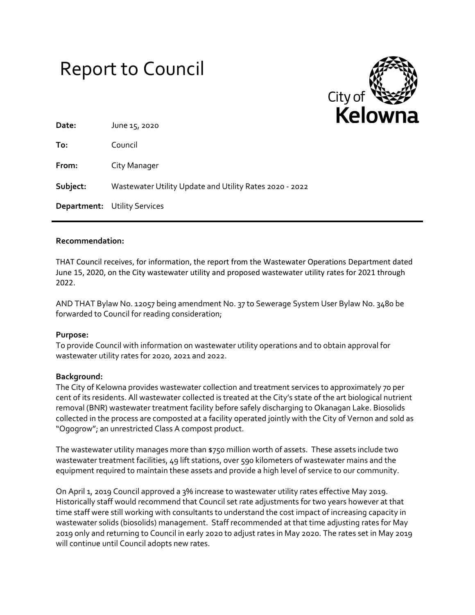



| Date:    | June 15, 2020                                           |
|----------|---------------------------------------------------------|
| To:      | Council                                                 |
| From:    | City Manager                                            |
| Subject: | Wastewater Utility Update and Utility Rates 2020 - 2022 |
|          | <b>Department:</b> Utility Services                     |

### **Recommendation:**

THAT Council receives, for information, the report from the Wastewater Operations Department dated June 15, 2020, on the City wastewater utility and proposed wastewater utility rates for 2021 through 2022.

AND THAT Bylaw No. 12057 being amendment No. 37 to Sewerage System User Bylaw No. 3480 be forwarded to Council for reading consideration;

### **Purpose:**

To provide Council with information on wastewater utility operations and to obtain approval for wastewater utility rates for 2020, 2021 and 2022.

### **Background:**

The City of Kelowna provides wastewater collection and treatment services to approximately 70 per cent of its residents. All wastewater collected is treated at the City's state of the art biological nutrient removal (BNR) wastewater treatment facility before safely discharging to Okanagan Lake. Biosolids collected in the process are composted at a facility operated jointly with the City of Vernon and sold as "Ogogrow"; an unrestricted Class A compost product.

The wastewater utility manages more than \$750 million worth of assets. These assets include two wastewater treatment facilities, 49 lift stations, over 590 kilometers of wastewater mains and the equipment required to maintain these assets and provide a high level of service to our community.

On April 1, 2019 Council approved a 3% increase to wastewater utility rates effective May 2019. Historically staff would recommend that Council set rate adjustments for two years however at that time staff were still working with consultants to understand the cost impact of increasing capacity in wastewater solids (biosolids) management. Staff recommended at that time adjusting rates for May 2019 only and returning to Council in early 2020 to adjust rates in May 2020. The rates set in May 2019 will continue until Council adopts new rates.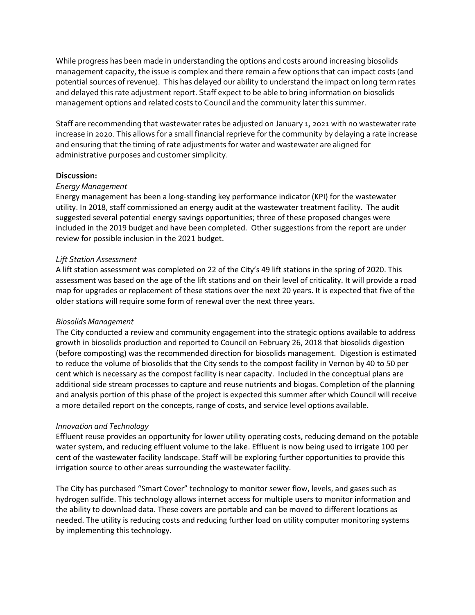While progress has been made in understanding the options and costs around increasing biosolids management capacity, the issue is complex and there remain a few options that can impact costs (and potential sources of revenue). This has delayed our ability to understand the impact on long term rates and delayed this rate adjustment report. Staff expect to be able to bring information on biosolids management options and related costs to Council and the community later this summer.

Staff are recommending that wastewater rates be adjusted on January 1, 2021 with no wastewater rate increase in 2020. This allows for a small financial reprieve for the community by delaying a rate increase and ensuring that the timing of rate adjustments for water and wastewater are aligned for administrative purposes and customer simplicity.

### **Discussion:**

### *Energy Management*

Energy management has been a long-standing key performance indicator (KPI) for the wastewater utility. In 2018, staff commissioned an energy audit at the wastewater treatment facility. The audit suggested several potential energy savings opportunities; three of these proposed changes were included in the 2019 budget and have been completed. Other suggestions from the report are under review for possible inclusion in the 2021 budget.

# *Lift Station Assessment*

A lift station assessment was completed on 22 of the City's 49 lift stations in the spring of 2020. This assessment was based on the age of the lift stations and on their level of criticality. It will provide a road map for upgrades or replacement of these stations over the next 20 years. It is expected that five of the older stations will require some form of renewal over the next three years.

### *Biosolids Management*

The City conducted a review and community engagement into the strategic options available to address growth in biosolids production and reported to Council on February 26, 2018 that biosolids digestion (before composting) was the recommended direction for biosolids management. Digestion is estimated to reduce the volume of biosolids that the City sends to the compost facility in Vernon by 40 to 50 per cent which is necessary as the compost facility is near capacity. Included in the conceptual plans are additional side stream processes to capture and reuse nutrients and biogas. Completion of the planning and analysis portion of this phase of the project is expected this summer after which Council will receive a more detailed report on the concepts, range of costs, and service level options available.

### *Innovation and Technology*

Effluent reuse provides an opportunity for lower utility operating costs, reducing demand on the potable water system, and reducing effluent volume to the lake. Effluent is now being used to irrigate 100 per cent of the wastewater facility landscape. Staff will be exploring further opportunities to provide this irrigation source to other areas surrounding the wastewater facility.

The City has purchased "Smart Cover" technology to monitor sewer flow, levels, and gases such as hydrogen sulfide. This technology allows internet access for multiple users to monitor information and the ability to download data. These covers are portable and can be moved to different locations as needed. The utility is reducing costs and reducing further load on utility computer monitoring systems by implementing this technology.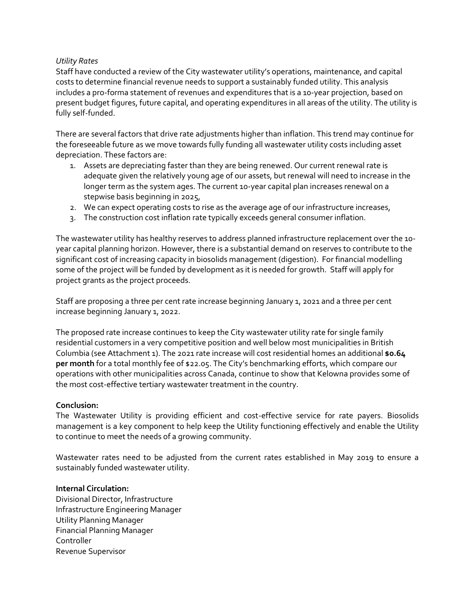# *Utility Rates*

Staff have conducted a review of the City wastewater utility's operations, maintenance, and capital costs to determine financial revenue needs to support a sustainably funded utility. This analysis includes a pro-forma statement of revenues and expenditures that is a 10-year projection, based on present budget figures, future capital, and operating expenditures in all areas of the utility. The utility is fully self-funded.

There are several factors that drive rate adjustments higher than inflation. This trend may continue for the foreseeable future as we move towards fully funding all wastewater utility costs including asset depreciation. These factors are:

- 1. Assets are depreciating faster than they are being renewed. Our current renewal rate is adequate given the relatively young age of our assets, but renewal will need to increase in the longer term as the system ages. The current 10-year capital plan increases renewal on a stepwise basis beginning in 2025,
- 2. We can expect operating costs to rise as the average age of our infrastructure increases,
- 3. The construction cost inflation rate typically exceeds general consumer inflation.

The wastewater utility has healthy reserves to address planned infrastructure replacement over the 10 year capital planning horizon. However, there is a substantial demand on reserves to contribute to the significant cost of increasing capacity in biosolids management (digestion). For financial modelling some of the project will be funded by development as it is needed for growth. Staff will apply for project grants as the project proceeds.

Staff are proposing a three per cent rate increase beginning January 1, 2021 and a three per cent increase beginning January 1, 2022.

The proposed rate increase continues to keep the City wastewater utility rate for single family residential customers in a very competitive position and well below most municipalities in British Columbia (see Attachment 1). The 2021 rate increase will cost residential homes an additional **\$0.64 per month** for a total monthly fee of \$22.05. The City's benchmarking efforts, which compare our operations with other municipalities across Canada, continue to show that Kelowna provides some of the most cost-effective tertiary wastewater treatment in the country.

### **Conclusion:**

The Wastewater Utility is providing efficient and cost-effective service for rate payers. Biosolids management is a key component to help keep the Utility functioning effectively and enable the Utility to continue to meet the needs of a growing community.

Wastewater rates need to be adjusted from the current rates established in May 2019 to ensure a sustainably funded wastewater utility.

### **Internal Circulation:**

Divisional Director, Infrastructure Infrastructure Engineering Manager Utility Planning Manager Financial Planning Manager Controller Revenue Supervisor